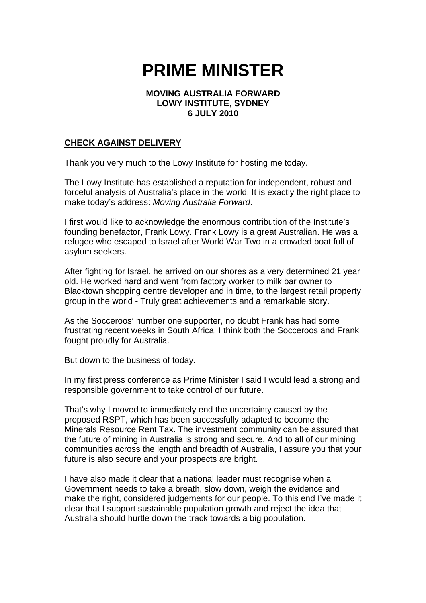## **PRIME MINISTER**

## **MOVING AUSTRALIA FORWARD LOWY INSTITUTE, SYDNEY 6 JULY 2010**

## **CHECK AGAINST DELIVERY**

Thank you very much to the Lowy Institute for hosting me today.

The Lowy Institute has established a reputation for independent, robust and forceful analysis of Australia's place in the world. It is exactly the right place to make today's address: *Moving Australia Forward*.

I first would like to acknowledge the enormous contribution of the Institute's founding benefactor, Frank Lowy. Frank Lowy is a great Australian. He was a refugee who escaped to Israel after World War Two in a crowded boat full of asylum seekers.

After fighting for Israel, he arrived on our shores as a very determined 21 year old. He worked hard and went from factory worker to milk bar owner to Blacktown shopping centre developer and in time, to the largest retail property group in the world - Truly great achievements and a remarkable story.

As the Socceroos' number one supporter, no doubt Frank has had some frustrating recent weeks in South Africa. I think both the Socceroos and Frank fought proudly for Australia.

But down to the business of today.

In my first press conference as Prime Minister I said I would lead a strong and responsible government to take control of our future.

That's why I moved to immediately end the uncertainty caused by the proposed RSPT, which has been successfully adapted to become the Minerals Resource Rent Tax. The investment community can be assured that the future of mining in Australia is strong and secure, And to all of our mining communities across the length and breadth of Australia, I assure you that your future is also secure and your prospects are bright.

I have also made it clear that a national leader must recognise when a Government needs to take a breath, slow down, weigh the evidence and make the right, considered judgements for our people. To this end I've made it clear that I support sustainable population growth and reject the idea that Australia should hurtle down the track towards a big population.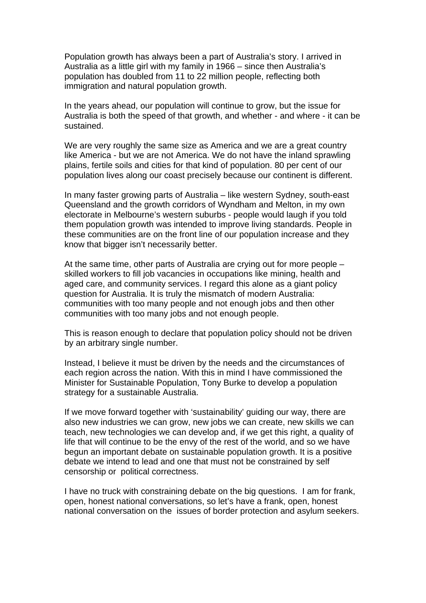Population growth has always been a part of Australia's story. I arrived in Australia as a little girl with my family in 1966 – since then Australia's population has doubled from 11 to 22 million people, reflecting both immigration and natural population growth.

In the years ahead, our population will continue to grow, but the issue for Australia is both the speed of that growth, and whether - and where - it can be sustained.

We are very roughly the same size as America and we are a great country like America - but we are not America. We do not have the inland sprawling plains, fertile soils and cities for that kind of population. 80 per cent of our population lives along our coast precisely because our continent is different.

In many faster growing parts of Australia – like western Sydney, south-east Queensland and the growth corridors of Wyndham and Melton, in my own electorate in Melbourne's western suburbs - people would laugh if you told them population growth was intended to improve living standards. People in these communities are on the front line of our population increase and they know that bigger isn't necessarily better.

At the same time, other parts of Australia are crying out for more people – skilled workers to fill job vacancies in occupations like mining, health and aged care, and community services. I regard this alone as a giant policy question for Australia. It is truly the mismatch of modern Australia: communities with too many people and not enough jobs and then other communities with too many jobs and not enough people.

This is reason enough to declare that population policy should not be driven by an arbitrary single number.

Instead, I believe it must be driven by the needs and the circumstances of each region across the nation. With this in mind I have commissioned the Minister for Sustainable Population, Tony Burke to develop a population strategy for a sustainable Australia.

If we move forward together with 'sustainability' guiding our way, there are also new industries we can grow, new jobs we can create, new skills we can teach, new technologies we can develop and, if we get this right, a quality of life that will continue to be the envy of the rest of the world, and so we have begun an important debate on sustainable population growth. It is a positive debate we intend to lead and one that must not be constrained by self censorship or political correctness.

I have no truck with constraining debate on the big questions. I am for frank, open, honest national conversations, so let's have a frank, open, honest national conversation on the issues of border protection and asylum seekers.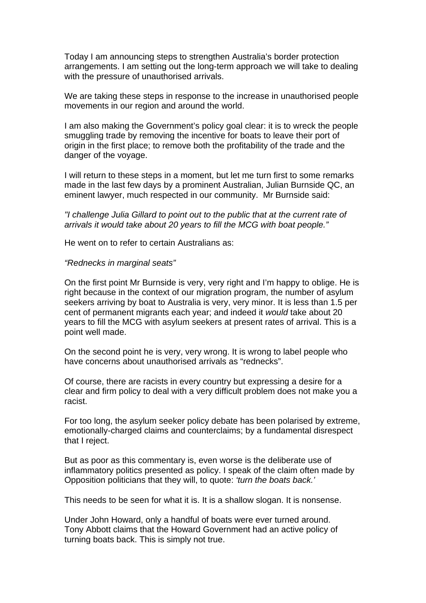Today I am announcing steps to strengthen Australia's border protection arrangements. I am setting out the long-term approach we will take to dealing with the pressure of unauthorised arrivals.

We are taking these steps in response to the increase in unauthorised people movements in our region and around the world.

I am also making the Government's policy goal clear: it is to wreck the people smuggling trade by removing the incentive for boats to leave their port of origin in the first place; to remove both the profitability of the trade and the danger of the voyage.

I will return to these steps in a moment, but let me turn first to some remarks made in the last few days by a prominent Australian, Julian Burnside QC, an eminent lawyer, much respected in our community. Mr Burnside said:

*"I challenge Julia Gillard to point out to the public that at the current rate of arrivals it would take about 20 years to fill the MCG with boat people."* 

He went on to refer to certain Australians as:

## *"Rednecks in marginal seats"*

On the first point Mr Burnside is very, very right and I'm happy to oblige. He is right because in the context of our migration program, the number of asylum seekers arriving by boat to Australia is very, very minor. It is less than 1.5 per cent of permanent migrants each year; and indeed it *would* take about 20 years to fill the MCG with asylum seekers at present rates of arrival. This is a point well made.

On the second point he is very, very wrong. It is wrong to label people who have concerns about unauthorised arrivals as "rednecks".

Of course, there are racists in every country but expressing a desire for a clear and firm policy to deal with a very difficult problem does not make you a racist.

For too long, the asylum seeker policy debate has been polarised by extreme, emotionally-charged claims and counterclaims; by a fundamental disrespect that I reject.

But as poor as this commentary is, even worse is the deliberate use of inflammatory politics presented as policy. I speak of the claim often made by Opposition politicians that they will, to quote: *'turn the boats back.'*

This needs to be seen for what it is. It is a shallow slogan. It is nonsense.

Under John Howard, only a handful of boats were ever turned around. Tony Abbott claims that the Howard Government had an active policy of turning boats back. This is simply not true.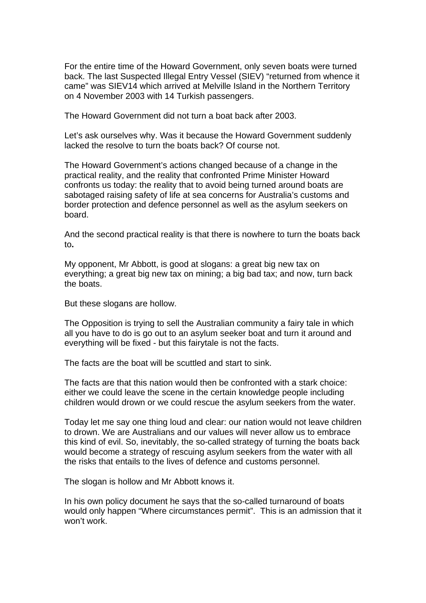For the entire time of the Howard Government, only seven boats were turned back. The last Suspected Illegal Entry Vessel (SIEV) "returned from whence it came" was SIEV14 which arrived at Melville Island in the Northern Territory on 4 November 2003 with 14 Turkish passengers.

The Howard Government did not turn a boat back after 2003.

Let's ask ourselves why. Was it because the Howard Government suddenly lacked the resolve to turn the boats back? Of course not.

The Howard Government's actions changed because of a change in the practical reality, and the reality that confronted Prime Minister Howard confronts us today: the reality that to avoid being turned around boats are sabotaged raising safety of life at sea concerns for Australia's customs and border protection and defence personnel as well as the asylum seekers on board.

And the second practical reality is that there is nowhere to turn the boats back to**.** 

My opponent, Mr Abbott, is good at slogans: a great big new tax on everything; a great big new tax on mining; a big bad tax; and now, turn back the boats.

But these slogans are hollow.

The Opposition is trying to sell the Australian community a fairy tale in which all you have to do is go out to an asylum seeker boat and turn it around and everything will be fixed - but this fairytale is not the facts.

The facts are the boat will be scuttled and start to sink.

The facts are that this nation would then be confronted with a stark choice: either we could leave the scene in the certain knowledge people including children would drown or we could rescue the asylum seekers from the water.

Today let me say one thing loud and clear: our nation would not leave children to drown. We are Australians and our values will never allow us to embrace this kind of evil. So, inevitably, the so-called strategy of turning the boats back would become a strategy of rescuing asylum seekers from the water with all the risks that entails to the lives of defence and customs personnel.

The slogan is hollow and Mr Abbott knows it.

In his own policy document he says that the so-called turnaround of boats would only happen "Where circumstances permit". This is an admission that it won't work.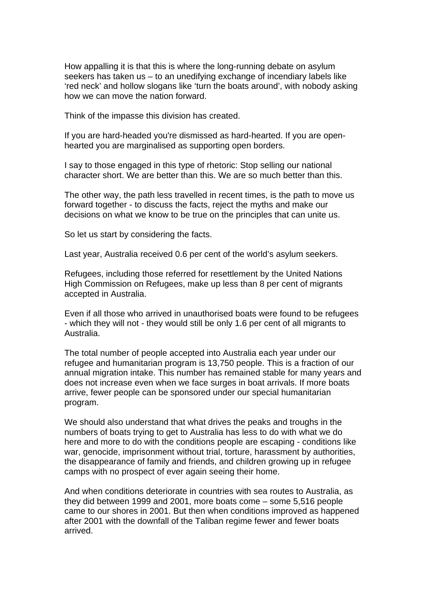How appalling it is that this is where the long-running debate on asylum seekers has taken us – to an unedifying exchange of incendiary labels like 'red neck' and hollow slogans like 'turn the boats around', with nobody asking how we can move the nation forward.

Think of the impasse this division has created.

If you are hard-headed you're dismissed as hard-hearted. If you are openhearted you are marginalised as supporting open borders.

I say to those engaged in this type of rhetoric: Stop selling our national character short. We are better than this. We are so much better than this.

The other way, the path less travelled in recent times, is the path to move us forward together - to discuss the facts, reject the myths and make our decisions on what we know to be true on the principles that can unite us.

So let us start by considering the facts.

Last year, Australia received 0.6 per cent of the world's asylum seekers.

Refugees, including those referred for resettlement by the United Nations High Commission on Refugees, make up less than 8 per cent of migrants accepted in Australia.

Even if all those who arrived in unauthorised boats were found to be refugees - which they will not - they would still be only 1.6 per cent of all migrants to Australia.

The total number of people accepted into Australia each year under our refugee and humanitarian program is 13,750 people. This is a fraction of our annual migration intake. This number has remained stable for many years and does not increase even when we face surges in boat arrivals. If more boats arrive, fewer people can be sponsored under our special humanitarian program.

We should also understand that what drives the peaks and troughs in the numbers of boats trying to get to Australia has less to do with what we do here and more to do with the conditions people are escaping - conditions like war, genocide, imprisonment without trial, torture, harassment by authorities, the disappearance of family and friends, and children growing up in refugee camps with no prospect of ever again seeing their home.

And when conditions deteriorate in countries with sea routes to Australia, as they did between 1999 and 2001, more boats come – some 5,516 people came to our shores in 2001. But then when conditions improved as happened after 2001 with the downfall of the Taliban regime fewer and fewer boats arrived.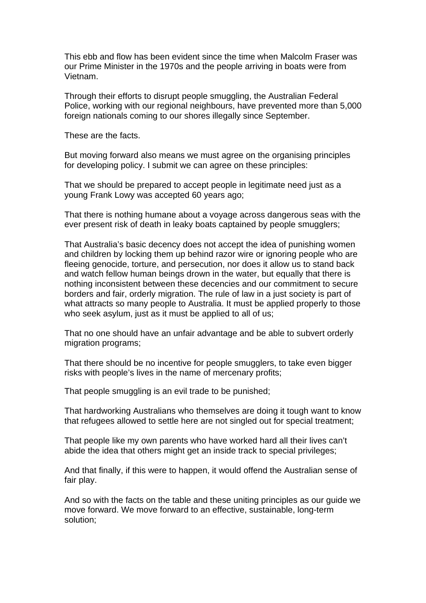This ebb and flow has been evident since the time when Malcolm Fraser was our Prime Minister in the 1970s and the people arriving in boats were from Vietnam.

Through their efforts to disrupt people smuggling, the Australian Federal Police, working with our regional neighbours, have prevented more than 5,000 foreign nationals coming to our shores illegally since September.

These are the facts.

But moving forward also means we must agree on the organising principles for developing policy. I submit we can agree on these principles:

That we should be prepared to accept people in legitimate need just as a young Frank Lowy was accepted 60 years ago;

That there is nothing humane about a voyage across dangerous seas with the ever present risk of death in leaky boats captained by people smugglers;

That Australia's basic decency does not accept the idea of punishing women and children by locking them up behind razor wire or ignoring people who are fleeing genocide, torture, and persecution, nor does it allow us to stand back and watch fellow human beings drown in the water, but equally that there is nothing inconsistent between these decencies and our commitment to secure borders and fair, orderly migration. The rule of law in a just society is part of what attracts so many people to Australia. It must be applied properly to those who seek asylum, just as it must be applied to all of us:

That no one should have an unfair advantage and be able to subvert orderly migration programs;

That there should be no incentive for people smugglers, to take even bigger risks with people's lives in the name of mercenary profits;

That people smuggling is an evil trade to be punished;

That hardworking Australians who themselves are doing it tough want to know that refugees allowed to settle here are not singled out for special treatment;

That people like my own parents who have worked hard all their lives can't abide the idea that others might get an inside track to special privileges;

And that finally, if this were to happen, it would offend the Australian sense of fair play.

And so with the facts on the table and these uniting principles as our guide we move forward. We move forward to an effective, sustainable, long-term solution;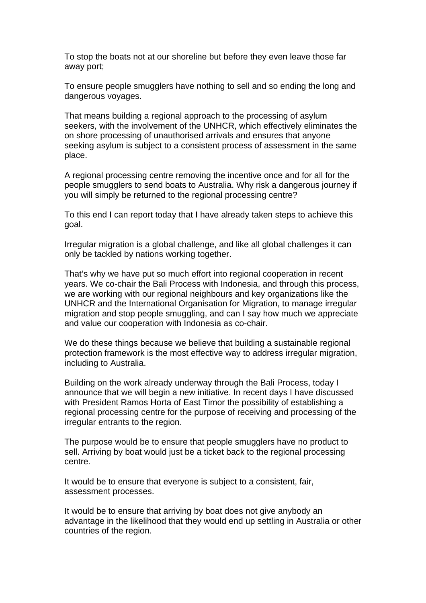To stop the boats not at our shoreline but before they even leave those far away port;

To ensure people smugglers have nothing to sell and so ending the long and dangerous voyages.

That means building a regional approach to the processing of asylum seekers, with the involvement of the UNHCR, which effectively eliminates the on shore processing of unauthorised arrivals and ensures that anyone seeking asylum is subject to a consistent process of assessment in the same place.

A regional processing centre removing the incentive once and for all for the people smugglers to send boats to Australia. Why risk a dangerous journey if you will simply be returned to the regional processing centre?

To this end I can report today that I have already taken steps to achieve this goal.

Irregular migration is a global challenge, and like all global challenges it can only be tackled by nations working together.

That's why we have put so much effort into regional cooperation in recent years. We co-chair the Bali Process with Indonesia, and through this process, we are working with our regional neighbours and key organizations like the UNHCR and the International Organisation for Migration, to manage irregular migration and stop people smuggling, and can I say how much we appreciate and value our cooperation with Indonesia as co-chair.

We do these things because we believe that building a sustainable regional protection framework is the most effective way to address irregular migration, including to Australia.

Building on the work already underway through the Bali Process, today I announce that we will begin a new initiative. In recent days I have discussed with President Ramos Horta of East Timor the possibility of establishing a regional processing centre for the purpose of receiving and processing of the irregular entrants to the region.

The purpose would be to ensure that people smugglers have no product to sell. Arriving by boat would just be a ticket back to the regional processing centre.

It would be to ensure that everyone is subject to a consistent, fair, assessment processes.

It would be to ensure that arriving by boat does not give anybody an advantage in the likelihood that they would end up settling in Australia or other countries of the region.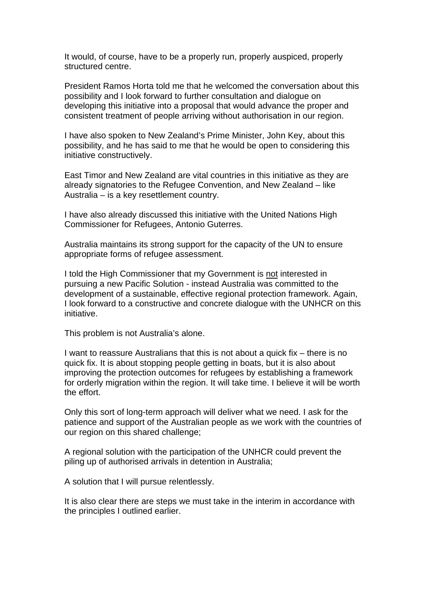It would, of course, have to be a properly run, properly auspiced, properly structured centre.

President Ramos Horta told me that he welcomed the conversation about this possibility and I look forward to further consultation and dialogue on developing this initiative into a proposal that would advance the proper and consistent treatment of people arriving without authorisation in our region.

I have also spoken to New Zealand's Prime Minister, John Key, about this possibility, and he has said to me that he would be open to considering this initiative constructively.

East Timor and New Zealand are vital countries in this initiative as they are already signatories to the Refugee Convention, and New Zealand – like Australia – is a key resettlement country.

I have also already discussed this initiative with the United Nations High Commissioner for Refugees, Antonio Guterres.

Australia maintains its strong support for the capacity of the UN to ensure appropriate forms of refugee assessment.

I told the High Commissioner that my Government is not interested in pursuing a new Pacific Solution - instead Australia was committed to the development of a sustainable, effective regional protection framework. Again, I look forward to a constructive and concrete dialogue with the UNHCR on this initiative.

This problem is not Australia's alone.

I want to reassure Australians that this is not about a quick fix – there is no quick fix. It is about stopping people getting in boats, but it is also about improving the protection outcomes for refugees by establishing a framework for orderly migration within the region. It will take time. I believe it will be worth the effort.

Only this sort of long-term approach will deliver what we need. I ask for the patience and support of the Australian people as we work with the countries of our region on this shared challenge;

A regional solution with the participation of the UNHCR could prevent the piling up of authorised arrivals in detention in Australia;

A solution that I will pursue relentlessly.

It is also clear there are steps we must take in the interim in accordance with the principles I outlined earlier.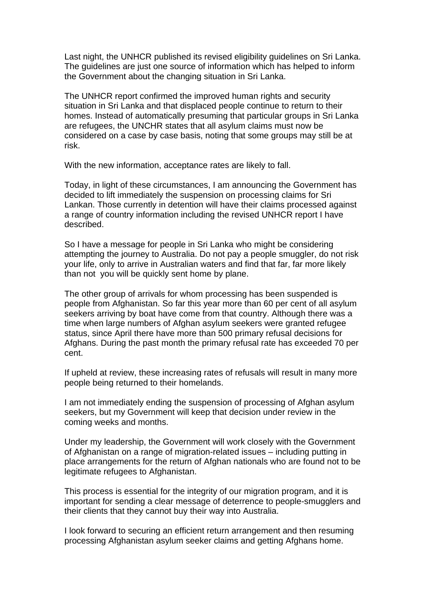Last night, the UNHCR published its revised eligibility guidelines on Sri Lanka. The guidelines are just one source of information which has helped to inform the Government about the changing situation in Sri Lanka.

The UNHCR report confirmed the improved human rights and security situation in Sri Lanka and that displaced people continue to return to their homes. Instead of automatically presuming that particular groups in Sri Lanka are refugees, the UNCHR states that all asylum claims must now be considered on a case by case basis, noting that some groups may still be at risk.

With the new information, acceptance rates are likely to fall.

Today, in light of these circumstances, I am announcing the Government has decided to lift immediately the suspension on processing claims for Sri Lankan. Those currently in detention will have their claims processed against a range of country information including the revised UNHCR report I have described.

So I have a message for people in Sri Lanka who might be considering attempting the journey to Australia. Do not pay a people smuggler, do not risk your life, only to arrive in Australian waters and find that far, far more likely than not you will be quickly sent home by plane.

The other group of arrivals for whom processing has been suspended is people from Afghanistan. So far this year more than 60 per cent of all asylum seekers arriving by boat have come from that country. Although there was a time when large numbers of Afghan asylum seekers were granted refugee status, since April there have more than 500 primary refusal decisions for Afghans. During the past month the primary refusal rate has exceeded 70 per cent.

If upheld at review, these increasing rates of refusals will result in many more people being returned to their homelands.

I am not immediately ending the suspension of processing of Afghan asylum seekers, but my Government will keep that decision under review in the coming weeks and months.

Under my leadership, the Government will work closely with the Government of Afghanistan on a range of migration-related issues – including putting in place arrangements for the return of Afghan nationals who are found not to be legitimate refugees to Afghanistan.

This process is essential for the integrity of our migration program, and it is important for sending a clear message of deterrence to people-smugglers and their clients that they cannot buy their way into Australia.

I look forward to securing an efficient return arrangement and then resuming processing Afghanistan asylum seeker claims and getting Afghans home.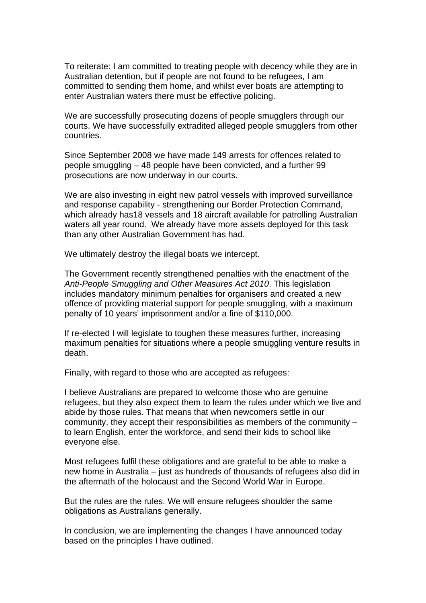To reiterate: I am committed to treating people with decency while they are in Australian detention, but if people are not found to be refugees, I am committed to sending them home, and whilst ever boats are attempting to enter Australian waters there must be effective policing.

We are successfully prosecuting dozens of people smugglers through our courts. We have successfully extradited alleged people smugglers from other countries.

Since September 2008 we have made 149 arrests for offences related to people smuggling – 48 people have been convicted, and a further 99 prosecutions are now underway in our courts.

We are also investing in eight new patrol vessels with improved surveillance and response capability - strengthening our Border Protection Command, which already has18 vessels and 18 aircraft available for patrolling Australian waters all year round. We already have more assets deployed for this task than any other Australian Government has had.

We ultimately destroy the illegal boats we intercept.

The Government recently strengthened penalties with the enactment of the *Anti-People Smuggling and Other Measures Act 2010*. This legislation includes mandatory minimum penalties for organisers and created a new offence of providing material support for people smuggling, with a maximum penalty of 10 years' imprisonment and/or a fine of \$110,000.

If re-elected I will legislate to toughen these measures further, increasing maximum penalties for situations where a people smuggling venture results in death.

Finally, with regard to those who are accepted as refugees:

I believe Australians are prepared to welcome those who are genuine refugees, but they also expect them to learn the rules under which we live and abide by those rules. That means that when newcomers settle in our community, they accept their responsibilities as members of the community – to learn English, enter the workforce, and send their kids to school like everyone else.

Most refugees fulfil these obligations and are grateful to be able to make a new home in Australia – just as hundreds of thousands of refugees also did in the aftermath of the holocaust and the Second World War in Europe.

But the rules are the rules. We will ensure refugees shoulder the same obligations as Australians generally.

In conclusion, we are implementing the changes I have announced today based on the principles I have outlined.